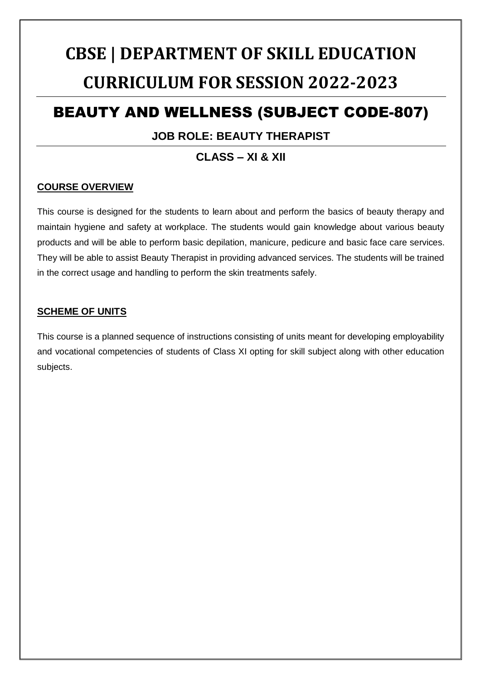# **CBSE | DEPARTMENT OF SKILL EDUCATION CURRICULUM FOR SESSION 2022-2023**

## BEAUTY AND WELLNESS (SUBJECT CODE-807)

#### **JOB ROLE: BEAUTY THERAPIST**

### **CLASS – XI & XII**

#### **COURSE OVERVIEW**

This course is designed for the students to learn about and perform the basics of beauty therapy and maintain hygiene and safety at workplace. The students would gain knowledge about various beauty products and will be able to perform basic depilation, manicure, pedicure and basic face care services. They will be able to assist Beauty Therapist in providing advanced services. The students will be trained in the correct usage and handling to perform the skin treatments safely.

#### **SCHEME OF UNITS**

This course is a planned sequence of instructions consisting of units meant for developing employability and vocational competencies of students of Class XI opting for skill subject along with other education subjects.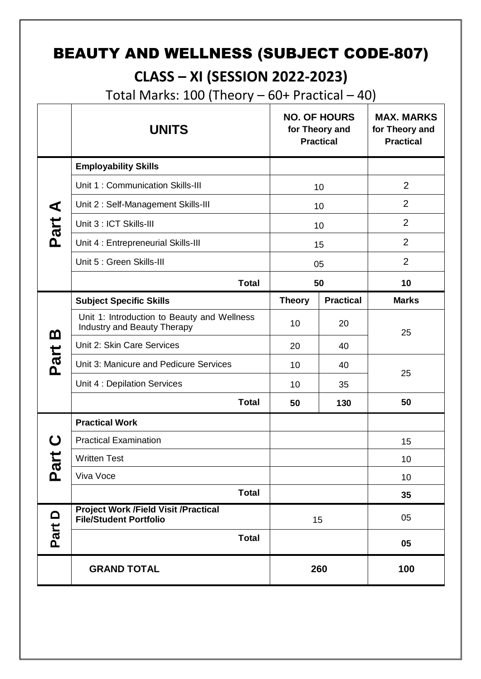# BEAUTY AND WELLNESS (SUBJECT CODE-807)

## **CLASS – XI (SESSION 2022-2023)**

Total Marks:  $100$  (Theory  $-60+$  Practical  $-40$ )

|                            | <b>UNITS</b>                                                                 |               | <b>NO. OF HOURS</b><br>for Theory and<br><b>Practical</b> | <b>MAX. MARKS</b><br>for Theory and<br><b>Practical</b> |
|----------------------------|------------------------------------------------------------------------------|---------------|-----------------------------------------------------------|---------------------------------------------------------|
|                            | <b>Employability Skills</b>                                                  |               |                                                           |                                                         |
|                            | Unit 1: Communication Skills-III                                             | 10            |                                                           | $\overline{2}$                                          |
|                            | Unit 2: Self-Management Skills-III                                           | 10            |                                                           | $\overline{2}$                                          |
| Part A                     | Unit 3 : ICT Skills-III                                                      | 10            |                                                           | $\overline{2}$                                          |
|                            | Unit 4 : Entrepreneurial Skills-III                                          |               | 15                                                        | $\overline{2}$                                          |
|                            | Unit 5 : Green Skills-III                                                    | 05            |                                                           | $\overline{2}$                                          |
|                            | <b>Total</b>                                                                 |               | 50                                                        | 10                                                      |
|                            | <b>Subject Specific Skills</b>                                               | <b>Theory</b> | <b>Practical</b>                                          | <b>Marks</b>                                            |
| <u>ന</u>                   | Unit 1: Introduction to Beauty and Wellness<br>Industry and Beauty Therapy   | 10            | 20                                                        | 25                                                      |
|                            | Unit 2: Skin Care Services                                                   | 20            | 40                                                        |                                                         |
| Part                       | Unit 3: Manicure and Pedicure Services                                       | 10            | 40                                                        | 25                                                      |
|                            | Unit 4 : Depilation Services                                                 | 10            | 35                                                        |                                                         |
|                            | <b>Total</b>                                                                 | 50            | 130                                                       | 50                                                      |
|                            | <b>Practical Work</b>                                                        |               |                                                           |                                                         |
|                            | <b>Practical Examination</b>                                                 |               |                                                           | 15                                                      |
| ご<br>$\boldsymbol{\varpi}$ | <b>Written Test</b>                                                          |               |                                                           | 10                                                      |
| ൨                          | Viva Voce                                                                    |               |                                                           | 10                                                      |
|                            | <b>Total</b>                                                                 |               |                                                           | 35                                                      |
| Part D                     | <b>Project Work /Field Visit /Practical</b><br><b>File/Student Portfolio</b> | 15            |                                                           | 05                                                      |
|                            | <b>Total</b>                                                                 |               |                                                           | 05                                                      |
|                            | <b>GRAND TOTAL</b>                                                           |               | 260                                                       | 100                                                     |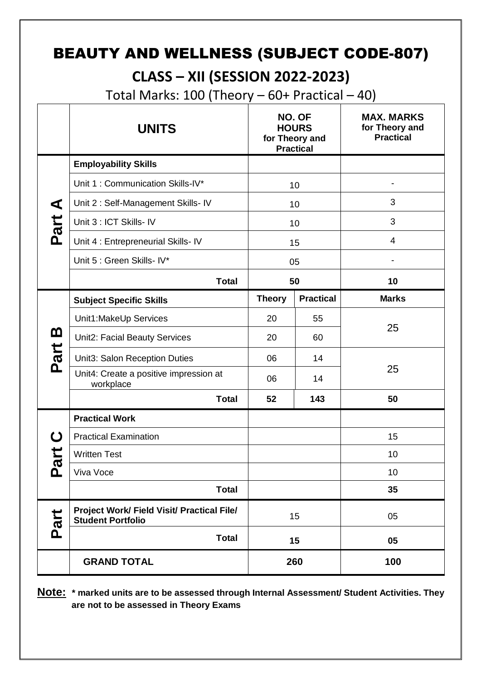# BEAUTY AND WELLNESS (SUBJECT CODE-807)

## **CLASS – XII (SESSION 2022-2023)**

Total Marks:  $100$  (Theory  $-60+$  Practical  $-40$ )

|          | <b>UNITS</b>                                                           |               | NO. OF<br><b>HOURS</b><br>for Theory and<br><b>Practical</b> | <b>MAX. MARKS</b><br>for Theory and<br><b>Practical</b> |
|----------|------------------------------------------------------------------------|---------------|--------------------------------------------------------------|---------------------------------------------------------|
|          | <b>Employability Skills</b>                                            |               |                                                              |                                                         |
|          | Unit 1: Communication Skills-IV*                                       |               | 10                                                           |                                                         |
| ⋖        | Unit 2: Self-Management Skills- IV                                     |               | 10                                                           | 3                                                       |
| Part     | Unit 3 : ICT Skills- IV                                                |               | 10                                                           | 3                                                       |
|          | Unit 4 : Entrepreneurial Skills- IV                                    |               | 15                                                           | 4                                                       |
|          | Unit 5 : Green Skills- IV*                                             |               | 05                                                           |                                                         |
|          | <b>Total</b>                                                           | 50            |                                                              | 10                                                      |
|          | <b>Subject Specific Skills</b>                                         | <b>Theory</b> | <b>Practical</b>                                             | <b>Marks</b>                                            |
|          | Unit1:MakeUp Services                                                  | 20            | 55                                                           | 25                                                      |
| <u>ന</u> | Unit2: Facial Beauty Services                                          | 20            | 60                                                           |                                                         |
| Part     | Unit3: Salon Reception Duties                                          | 06            | 14                                                           |                                                         |
|          | Unit4: Create a positive impression at<br>workplace                    | 06            | 14                                                           | 25                                                      |
|          | <b>Total</b>                                                           | 52            | 143                                                          | 50                                                      |
|          | <b>Practical Work</b>                                                  |               |                                                              |                                                         |
| ပ        | <b>Practical Examination</b>                                           |               |                                                              | 15                                                      |
| art      | <b>Written Test</b>                                                    |               |                                                              | 10                                                      |
| മ        | Viva Voce                                                              |               |                                                              | 10                                                      |
|          | <b>Total</b>                                                           |               |                                                              | 35                                                      |
| Part     | Project Work/ Field Visit/ Practical File/<br><b>Student Portfolio</b> |               | 15                                                           | 05                                                      |
|          | <b>Total</b>                                                           |               | 15                                                           | 05                                                      |
|          | <b>GRAND TOTAL</b>                                                     |               | 260                                                          | 100                                                     |

**Note: \* marked units are to be assessed through Internal Assessment/ Student Activities. They are not to be assessed in Theory Exams**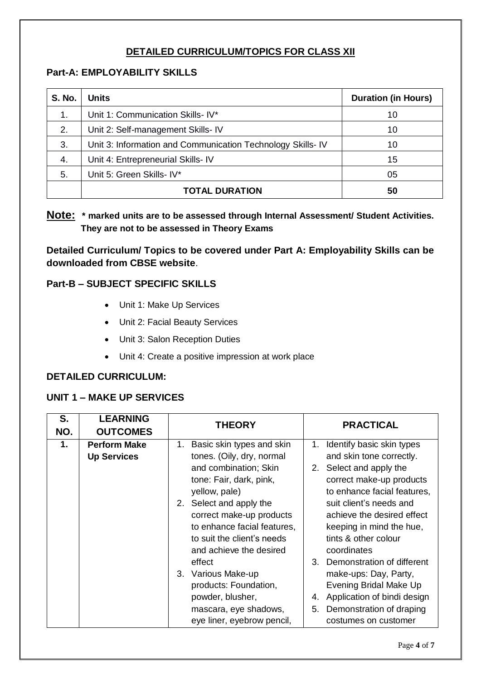#### **DETAILED CURRICULUM/TOPICS FOR CLASS XII**

#### **Part-A: EMPLOYABILITY SKILLS**

| <b>S. No.</b> | <b>Units</b>                                               | <b>Duration (in Hours)</b> |
|---------------|------------------------------------------------------------|----------------------------|
| 1.            | Unit 1: Communication Skills- IV*                          | 10                         |
| 2.            | Unit 2: Self-management Skills- IV                         | 10                         |
| 3.            | Unit 3: Information and Communication Technology Skills-IV | 10                         |
| 4.            | Unit 4: Entrepreneurial Skills- IV                         | 15                         |
| 5.            | Unit 5: Green Skills- IV*                                  | 05                         |
|               | <b>TOTAL DURATION</b>                                      | 50                         |

#### **Note: \* marked units are to be assessed through Internal Assessment/ Student Activities. They are not to be assessed in Theory Exams**

**Detailed Curriculum/ Topics to be covered under Part A: Employability Skills can be downloaded from CBSE website**.

#### **Part-B – SUBJECT SPECIFIC SKILLS**

- Unit 1: Make Up Services
- Unit 2: Facial Beauty Services
- Unit 3: Salon Reception Duties
- Unit 4: Create a positive impression at work place

#### **DETAILED CURRICULUM:**

#### **UNIT 1 – MAKE UP SERVICES**

| S.<br>NO. | <b>LEARNING</b><br><b>OUTCOMES</b> | <b>THEORY</b>                   | <b>PRACTICAL</b>                  |
|-----------|------------------------------------|---------------------------------|-----------------------------------|
| 1.        | <b>Perform Make</b>                | 1.<br>Basic skin types and skin | Identify basic skin types<br>1.   |
|           | <b>Up Services</b>                 | tones. (Oily, dry, normal       | and skin tone correctly.          |
|           |                                    | and combination; Skin           | 2. Select and apply the           |
|           |                                    | tone: Fair, dark, pink,         | correct make-up products          |
|           |                                    | yellow, pale)                   | to enhance facial features,       |
|           |                                    | 2. Select and apply the         | suit client's needs and           |
|           |                                    | correct make-up products        | achieve the desired effect        |
|           |                                    | to enhance facial features,     | keeping in mind the hue,          |
|           |                                    | to suit the client's needs      | tints & other colour              |
|           |                                    | and achieve the desired         | coordinates                       |
|           |                                    | effect                          | 3. Demonstration of different     |
|           |                                    | 3.<br>Various Make-up           | make-ups: Day, Party,             |
|           |                                    | products: Foundation,           | Evening Bridal Make Up            |
|           |                                    | powder, blusher,                | Application of bindi design<br>4. |
|           |                                    | mascara, eye shadows,           | Demonstration of draping<br>5.    |
|           |                                    | eye liner, eyebrow pencil,      | costumes on customer              |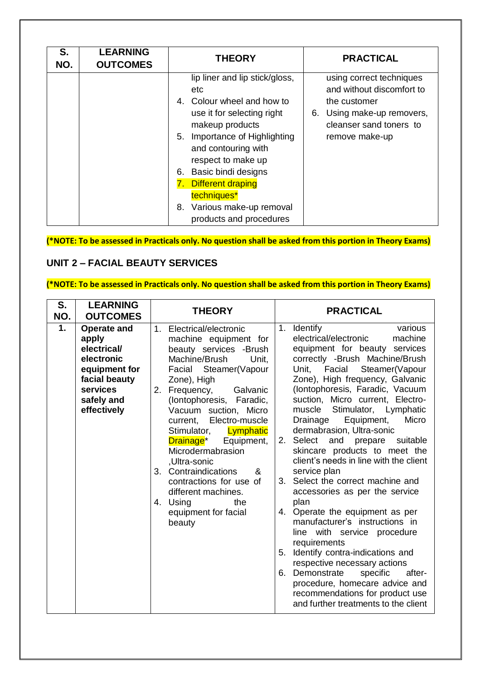| S.<br>NO. | <b>LEARNING</b><br><b>OUTCOMES</b> | <b>THEORY</b>                                                                                                                                                                                                                                                                                                                                | <b>PRACTICAL</b>                                                                                                                                 |
|-----------|------------------------------------|----------------------------------------------------------------------------------------------------------------------------------------------------------------------------------------------------------------------------------------------------------------------------------------------------------------------------------------------|--------------------------------------------------------------------------------------------------------------------------------------------------|
|           |                                    | lip liner and lip stick/gloss,<br>etc<br>4. Colour wheel and how to<br>use it for selecting right<br>makeup products<br>Importance of Highlighting<br>5.<br>and contouring with<br>respect to make up<br>6. Basic bindi designs<br><b>Different draping</b><br>7.<br>techniques*<br>Various make-up removal<br>8.<br>products and procedures | using correct techniques<br>and without discomfort to<br>the customer<br>6. Using make-up removers,<br>cleanser sand toners to<br>remove make-up |

**(\*NOTE: To be assessed in Practicals only. No question shall be asked from this portion in Theory Exams)**

#### **UNIT 2 – FACIAL BEAUTY SERVICES**

### **(\*NOTE: To be assessed in Practicals only. No question shall be asked from this portion in Theory Exams)**

| S.<br>NO. | <b>LEARNING</b><br><b>OUTCOMES</b>                                                                                                  | <b>THEORY</b>                                                                                                                                                                                                                                                                                                                                                                                                                                                                                          | <b>PRACTICAL</b>                                                                                                                                                                                                                                                                                                                                                                                                                                                                                                                                                                                                                                                                                                                                                                                                                                                                                                                                 |
|-----------|-------------------------------------------------------------------------------------------------------------------------------------|--------------------------------------------------------------------------------------------------------------------------------------------------------------------------------------------------------------------------------------------------------------------------------------------------------------------------------------------------------------------------------------------------------------------------------------------------------------------------------------------------------|--------------------------------------------------------------------------------------------------------------------------------------------------------------------------------------------------------------------------------------------------------------------------------------------------------------------------------------------------------------------------------------------------------------------------------------------------------------------------------------------------------------------------------------------------------------------------------------------------------------------------------------------------------------------------------------------------------------------------------------------------------------------------------------------------------------------------------------------------------------------------------------------------------------------------------------------------|
| 1.        | <b>Operate and</b><br>apply<br>electrical/<br>electronic<br>equipment for<br>facial beauty<br>services<br>safely and<br>effectively | Electrical/electronic<br>1.<br>machine equipment for<br>beauty services -Brush<br>Machine/Brush<br>Unit,<br>Facial Steamer(Vapour<br>Zone), High<br>Frequency,<br>2.<br>Galvanic<br>(lontophoresis,<br>Faradic,<br>Vacuum suction, Micro<br>Electro-muscle<br>current,<br>Stimulator,<br>Lymphatic<br>Drainage*<br>Equipment,<br>Microdermabrasion<br>,Ultra-sonic<br>3. Contraindications<br>&<br>contractions for use of<br>different machines.<br>4. Using<br>the<br>equipment for facial<br>beauty | 1. Identify<br>various<br>electrical/electronic<br>machine<br>equipment for beauty services<br>correctly -Brush Machine/Brush<br>Facial Steamer(Vapour<br>Unit.<br>Zone), High frequency, Galvanic<br>(lontophoresis, Faradic, Vacuum<br>suction, Micro current, Electro-<br>muscle Stimulator, Lymphatic<br>Equipment,<br>Micro<br>Drainage<br>dermabrasion, Ultra-sonic<br>Select<br>and prepare<br>2.<br>suitable<br>skincare products to meet the<br>client's needs in line with the client<br>service plan<br>3. Select the correct machine and<br>accessories as per the service<br>plan<br>4. Operate the equipment as per<br>manufacturer's instructions in<br>line with service procedure<br>requirements<br>Identify contra-indications and<br>5.<br>respective necessary actions<br>6. Demonstrate<br>specific<br>after-<br>procedure, homecare advice and<br>recommendations for product use<br>and further treatments to the client |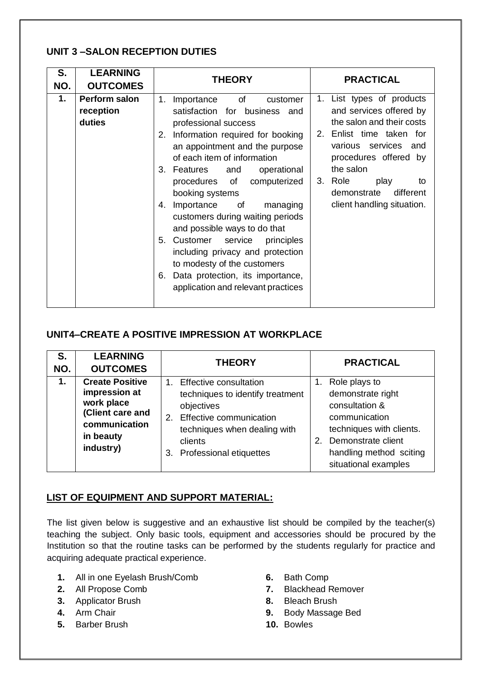#### **UNIT 3 –SALON RECEPTION DUTIES**

| S.<br>NO. | <b>LEARNING</b><br><b>OUTCOMES</b>          | <b>THEORY</b>                                                                                                                                                                                                                                                                                                                                                                                                                                                                                                                                                                               | <b>PRACTICAL</b>                                                                                                                                                                                                                                                  |
|-----------|---------------------------------------------|---------------------------------------------------------------------------------------------------------------------------------------------------------------------------------------------------------------------------------------------------------------------------------------------------------------------------------------------------------------------------------------------------------------------------------------------------------------------------------------------------------------------------------------------------------------------------------------------|-------------------------------------------------------------------------------------------------------------------------------------------------------------------------------------------------------------------------------------------------------------------|
| 1.        | <b>Perform salon</b><br>reception<br>duties | of<br>1.<br>Importance<br>customer<br>satisfaction for business and<br>professional success<br>Information required for booking<br>2.<br>an appointment and the purpose<br>of each item of information<br>3. Features and<br>operational<br>procedures of computerized<br>booking systems<br>Importance of<br>4.<br>managing<br>customers during waiting periods<br>and possible ways to do that<br>Customer service<br>5.<br>principles<br>including privacy and protection<br>to modesty of the customers<br>Data protection, its importance,<br>6.<br>application and relevant practices | 1. List types of products<br>and services offered by<br>the salon and their costs<br>2. Enlist time taken for<br>various services<br>and<br>procedures offered by<br>the salon<br>3. Role<br>play<br>to<br>different<br>demonstrate<br>client handling situation. |

#### **UNIT4–CREATE A POSITIVE IMPRESSION AT WORKPLACE**

| S.<br>NO. | <b>LEARNING</b><br><b>OUTCOMES</b>                                                                                   | <b>THEORY</b>                                                                                                                                                                      | <b>PRACTICAL</b>                                                                                                                                                                 |
|-----------|----------------------------------------------------------------------------------------------------------------------|------------------------------------------------------------------------------------------------------------------------------------------------------------------------------------|----------------------------------------------------------------------------------------------------------------------------------------------------------------------------------|
| 1.        | <b>Create Positive</b><br>impression at<br>work place<br>(Client care and<br>communication<br>in beauty<br>industry) | 1. Effective consultation<br>techniques to identify treatment<br>objectives<br>2. Effective communication<br>techniques when dealing with<br>clients<br>3. Professional etiquettes | Role plays to<br>demonstrate right<br>consultation &<br>communication<br>techniques with clients.<br>Demonstrate client<br>2.<br>handling method sciting<br>situational examples |

#### **LIST OF EQUIPMENT AND SUPPORT MATERIAL:**

The list given below is suggestive and an exhaustive list should be compiled by the teacher(s) teaching the subject. Only basic tools, equipment and accessories should be procured by the Institution so that the routine tasks can be performed by the students regularly for practice and acquiring adequate practical experience.

- **1.** All in one Eyelash Brush/Comb
- **2.** All Propose Comb
- **3.** Applicator Brush
- **4.** Arm Chair
- **5.** Barber Brush
- **6.** Bath Comp
- **7.** Blackhead Remover
- **8.** Bleach Brush
- **9.** Body Massage Bed
- **10.** Bowles